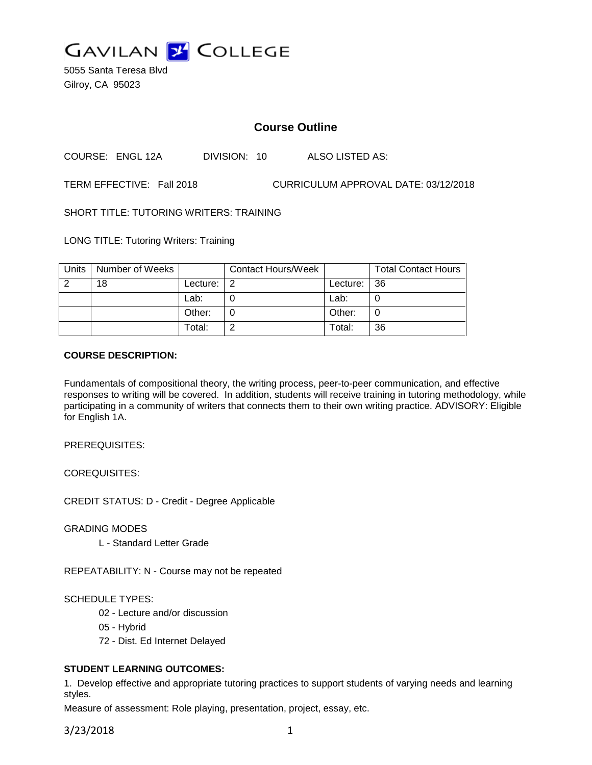

5055 Santa Teresa Blvd Gilroy, CA 95023

# **Course Outline**

COURSE: ENGL 12A DIVISION: 10 ALSO LISTED AS:

TERM EFFECTIVE: Fall 2018 CURRICULUM APPROVAL DATE: 03/12/2018

SHORT TITLE: TUTORING WRITERS: TRAINING

LONG TITLE: Tutoring Writers: Training

| Units | Number of Weeks |          | <b>Contact Hours/Week</b> |             | <b>Total Contact Hours</b> |
|-------|-----------------|----------|---------------------------|-------------|----------------------------|
|       | 18              | Lecture: | -2                        | Lecture: 36 |                            |
|       |                 | Lab:     |                           | Lab:        |                            |
|       |                 | Other:   |                           | Other:      |                            |
|       |                 | Total:   |                           | Total:      | 36                         |

#### **COURSE DESCRIPTION:**

Fundamentals of compositional theory, the writing process, peer-to-peer communication, and effective responses to writing will be covered. In addition, students will receive training in tutoring methodology, while participating in a community of writers that connects them to their own writing practice. ADVISORY: Eligible for English 1A.

PREREQUISITES:

COREQUISITES:

CREDIT STATUS: D - Credit - Degree Applicable

GRADING MODES

L - Standard Letter Grade

REPEATABILITY: N - Course may not be repeated

#### SCHEDULE TYPES:

- 02 Lecture and/or discussion
- 05 Hybrid
- 72 Dist. Ed Internet Delayed

## **STUDENT LEARNING OUTCOMES:**

1. Develop effective and appropriate tutoring practices to support students of varying needs and learning styles.

Measure of assessment: Role playing, presentation, project, essay, etc.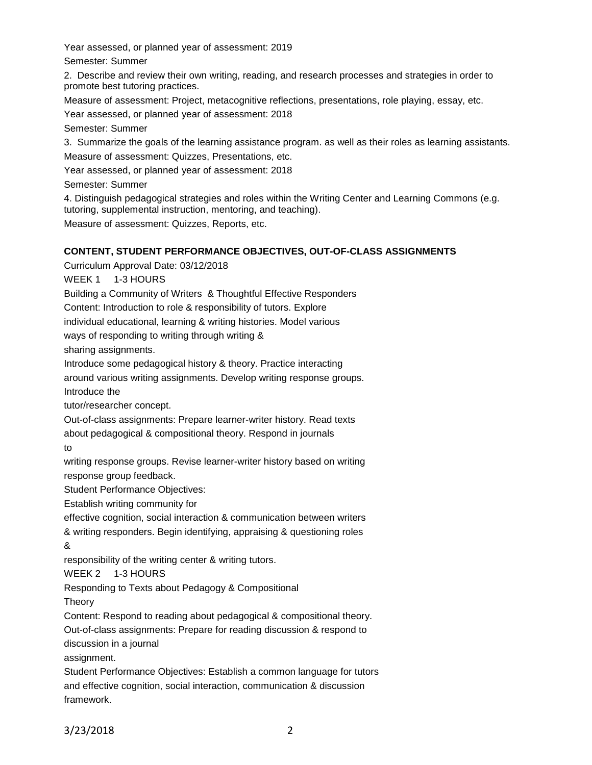Year assessed, or planned year of assessment: 2019

Semester: Summer

2. Describe and review their own writing, reading, and research processes and strategies in order to promote best tutoring practices.

Measure of assessment: Project, metacognitive reflections, presentations, role playing, essay, etc.

Year assessed, or planned year of assessment: 2018

Semester: Summer

3. Summarize the goals of the learning assistance program. as well as their roles as learning assistants.

Measure of assessment: Quizzes, Presentations, etc.

Year assessed, or planned year of assessment: 2018

Semester: Summer

4. Distinguish pedagogical strategies and roles within the Writing Center and Learning Commons (e.g. tutoring, supplemental instruction, mentoring, and teaching).

Measure of assessment: Quizzes, Reports, etc.

# **CONTENT, STUDENT PERFORMANCE OBJECTIVES, OUT-OF-CLASS ASSIGNMENTS**

Curriculum Approval Date: 03/12/2018

WEEK 1 1-3 HOURS

Building a Community of Writers & Thoughtful Effective Responders

Content: Introduction to role & responsibility of tutors. Explore

individual educational, learning & writing histories. Model various

ways of responding to writing through writing &

sharing assignments.

Introduce some pedagogical history & theory. Practice interacting

around various writing assignments. Develop writing response groups.

Introduce the

tutor/researcher concept.

Out-of-class assignments: Prepare learner-writer history. Read texts

about pedagogical & compositional theory. Respond in journals

to

writing response groups. Revise learner-writer history based on writing response group feedback.

Student Performance Objectives:

Establish writing community for

effective cognition, social interaction & communication between writers

& writing responders. Begin identifying, appraising & questioning roles

## &

responsibility of the writing center & writing tutors.

WEEK 2 1-3 HOURS

Responding to Texts about Pedagogy & Compositional

Theory

Content: Respond to reading about pedagogical & compositional theory.

Out-of-class assignments: Prepare for reading discussion & respond to discussion in a journal

assignment.

Student Performance Objectives: Establish a common language for tutors and effective cognition, social interaction, communication & discussion framework.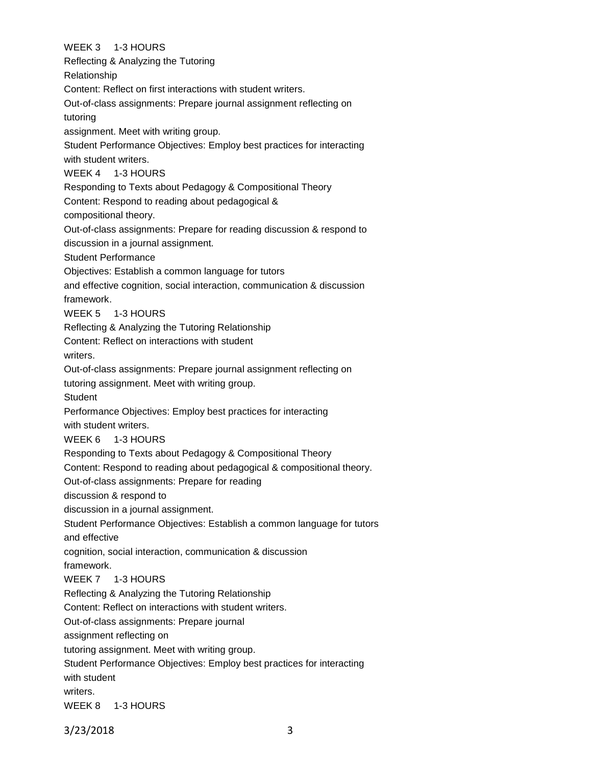WEEK 3 1-3 HOURS Reflecting & Analyzing the Tutoring Relationship Content: Reflect on first interactions with student writers. Out-of-class assignments: Prepare journal assignment reflecting on tutoring assignment. Meet with writing group. Student Performance Objectives: Employ best practices for interacting with student writers. WEEK 4 1-3 HOURS Responding to Texts about Pedagogy & Compositional Theory Content: Respond to reading about pedagogical & compositional theory. Out-of-class assignments: Prepare for reading discussion & respond to discussion in a journal assignment. Student Performance Objectives: Establish a common language for tutors and effective cognition, social interaction, communication & discussion framework. WEEK 5 1-3 HOURS Reflecting & Analyzing the Tutoring Relationship Content: Reflect on interactions with student writers. Out-of-class assignments: Prepare journal assignment reflecting on tutoring assignment. Meet with writing group. **Student** Performance Objectives: Employ best practices for interacting with student writers. WEEK 6 1-3 HOURS Responding to Texts about Pedagogy & Compositional Theory Content: Respond to reading about pedagogical & compositional theory. Out-of-class assignments: Prepare for reading discussion & respond to discussion in a journal assignment. Student Performance Objectives: Establish a common language for tutors and effective cognition, social interaction, communication & discussion framework. WEEK 7 1-3 HOURS Reflecting & Analyzing the Tutoring Relationship Content: Reflect on interactions with student writers. Out-of-class assignments: Prepare journal assignment reflecting on tutoring assignment. Meet with writing group. Student Performance Objectives: Employ best practices for interacting with student writers. WEEK 8 1-3 HOURS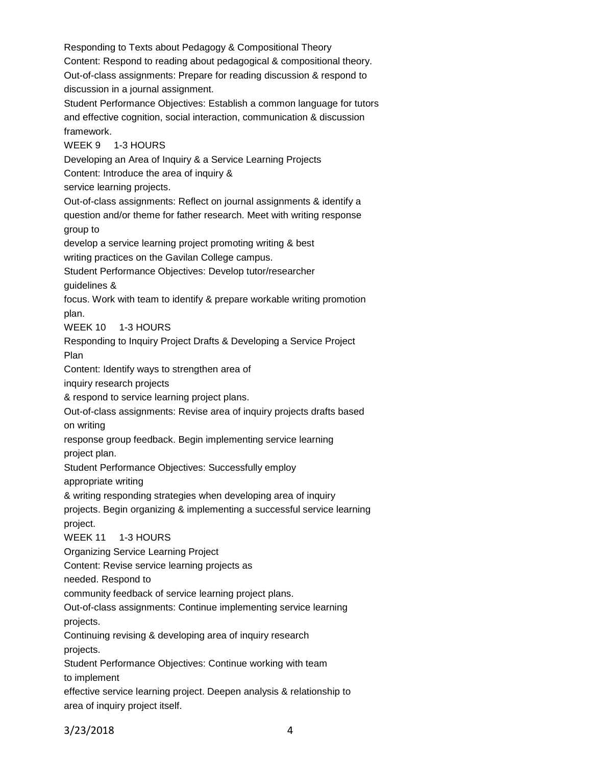Responding to Texts about Pedagogy & Compositional Theory Content: Respond to reading about pedagogical & compositional theory. Out-of-class assignments: Prepare for reading discussion & respond to discussion in a journal assignment. Student Performance Objectives: Establish a common language for tutors and effective cognition, social interaction, communication & discussion framework. WEEK 9 1-3 HOURS Developing an Area of Inquiry & a Service Learning Projects Content: Introduce the area of inquiry & service learning projects. Out-of-class assignments: Reflect on journal assignments & identify a question and/or theme for father research. Meet with writing response group to develop a service learning project promoting writing & best writing practices on the Gavilan College campus. Student Performance Objectives: Develop tutor/researcher guidelines & focus. Work with team to identify & prepare workable writing promotion plan. WEEK 10 1-3 HOURS Responding to Inquiry Project Drafts & Developing a Service Project Plan Content: Identify ways to strengthen area of inquiry research projects & respond to service learning project plans. Out-of-class assignments: Revise area of inquiry projects drafts based on writing response group feedback. Begin implementing service learning project plan. Student Performance Objectives: Successfully employ appropriate writing & writing responding strategies when developing area of inquiry projects. Begin organizing & implementing a successful service learning project. WEEK 11 1-3 HOURS Organizing Service Learning Project Content: Revise service learning projects as needed. Respond to community feedback of service learning project plans. Out-of-class assignments: Continue implementing service learning projects. Continuing revising & developing area of inquiry research projects. Student Performance Objectives: Continue working with team to implement effective service learning project. Deepen analysis & relationship to area of inquiry project itself.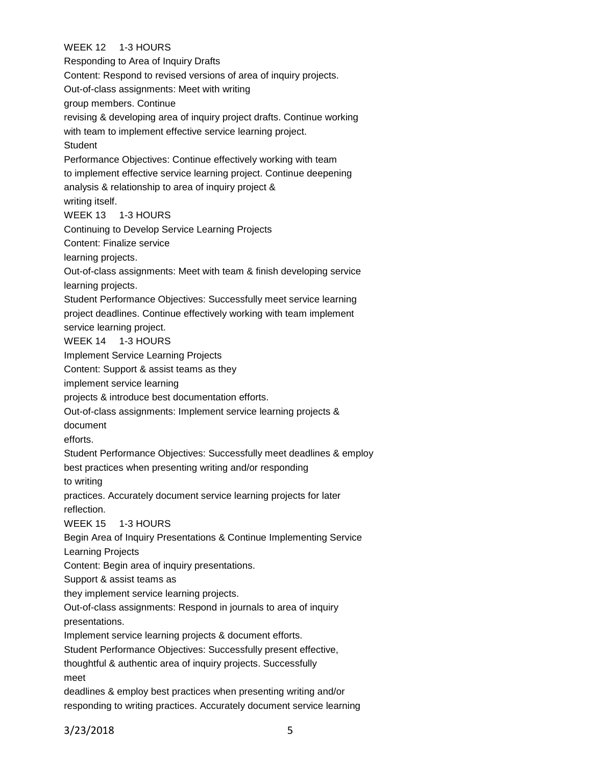# WEEK 12 1-3 HOURS

Responding to Area of Inquiry Drafts Content: Respond to revised versions of area of inquiry projects. Out-of-class assignments: Meet with writing group members. Continue revising & developing area of inquiry project drafts. Continue working with team to implement effective service learning project. **Student** Performance Objectives: Continue effectively working with team to implement effective service learning project. Continue deepening analysis & relationship to area of inquiry project & writing itself. WEEK 13 1-3 HOURS Continuing to Develop Service Learning Projects Content: Finalize service learning projects. Out-of-class assignments: Meet with team & finish developing service learning projects. Student Performance Objectives: Successfully meet service learning project deadlines. Continue effectively working with team implement service learning project. WEEK 14 1-3 HOURS Implement Service Learning Projects Content: Support & assist teams as they implement service learning projects & introduce best documentation efforts. Out-of-class assignments: Implement service learning projects & document efforts. Student Performance Objectives: Successfully meet deadlines & employ best practices when presenting writing and/or responding to writing practices. Accurately document service learning projects for later reflection. WEEK 15 1-3 HOURS Begin Area of Inquiry Presentations & Continue Implementing Service Learning Projects Content: Begin area of inquiry presentations. Support & assist teams as they implement service learning projects. Out-of-class assignments: Respond in journals to area of inquiry presentations. Implement service learning projects & document efforts. Student Performance Objectives: Successfully present effective, thoughtful & authentic area of inquiry projects. Successfully meet deadlines & employ best practices when presenting writing and/or responding to writing practices. Accurately document service learning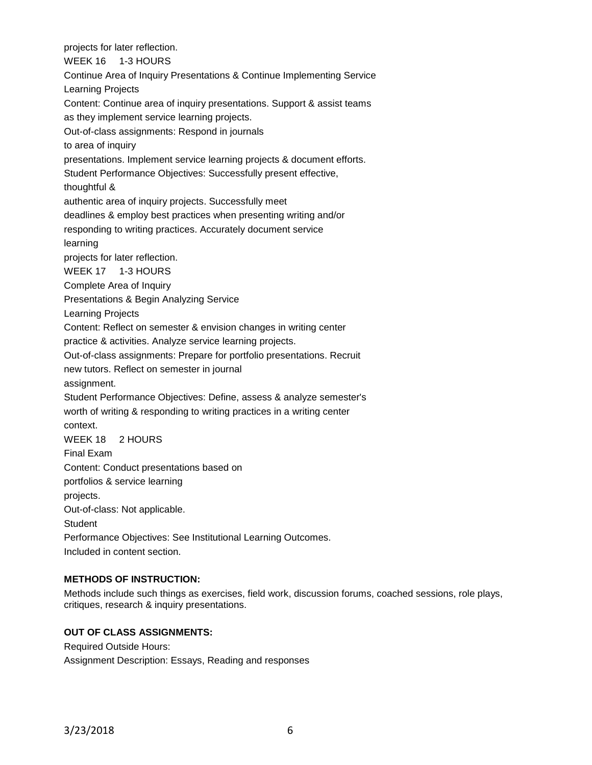projects for later reflection. WEEK 16 1-3 HOURS Continue Area of Inquiry Presentations & Continue Implementing Service Learning Projects Content: Continue area of inquiry presentations. Support & assist teams as they implement service learning projects. Out-of-class assignments: Respond in journals to area of inquiry presentations. Implement service learning projects & document efforts. Student Performance Objectives: Successfully present effective, thoughtful & authentic area of inquiry projects. Successfully meet deadlines & employ best practices when presenting writing and/or responding to writing practices. Accurately document service learning projects for later reflection. WEEK 17 1-3 HOURS Complete Area of Inquiry Presentations & Begin Analyzing Service Learning Projects Content: Reflect on semester & envision changes in writing center practice & activities. Analyze service learning projects. Out-of-class assignments: Prepare for portfolio presentations. Recruit new tutors. Reflect on semester in journal assignment. Student Performance Objectives: Define, assess & analyze semester's worth of writing & responding to writing practices in a writing center context. WEEK 18 2 HOURS Final Exam Content: Conduct presentations based on portfolios & service learning projects. Out-of-class: Not applicable. **Student** Performance Objectives: See Institutional Learning Outcomes. Included in content section.

## **METHODS OF INSTRUCTION:**

Methods include such things as exercises, field work, discussion forums, coached sessions, role plays, critiques, research & inquiry presentations.

## **OUT OF CLASS ASSIGNMENTS:**

Required Outside Hours: Assignment Description: Essays, Reading and responses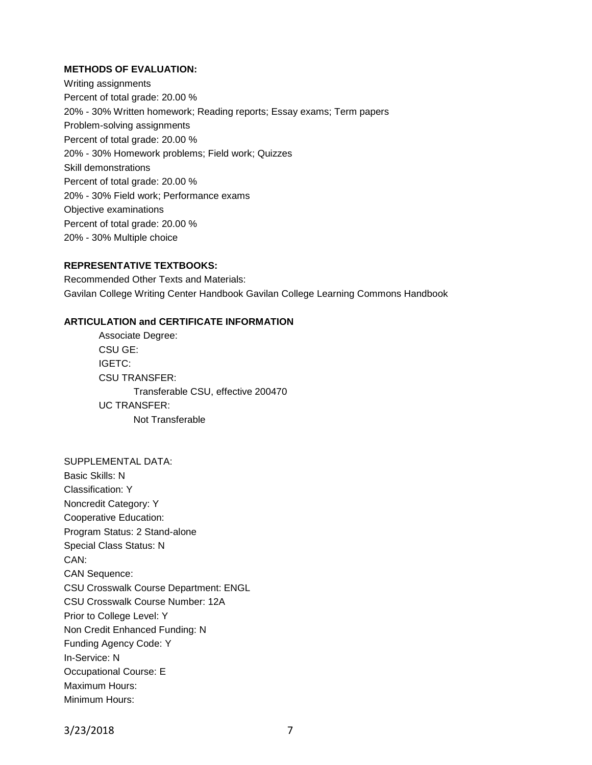### **METHODS OF EVALUATION:**

Writing assignments Percent of total grade: 20.00 % 20% - 30% Written homework; Reading reports; Essay exams; Term papers Problem-solving assignments Percent of total grade: 20.00 % 20% - 30% Homework problems; Field work; Quizzes Skill demonstrations Percent of total grade: 20.00 % 20% - 30% Field work; Performance exams Objective examinations Percent of total grade: 20.00 % 20% - 30% Multiple choice

## **REPRESENTATIVE TEXTBOOKS:**

Recommended Other Texts and Materials: Gavilan College Writing Center Handbook Gavilan College Learning Commons Handbook

#### **ARTICULATION and CERTIFICATE INFORMATION**

Associate Degree: CSU GE: IGETC: CSU TRANSFER: Transferable CSU, effective 200470 UC TRANSFER: Not Transferable

SUPPLEMENTAL DATA: Basic Skills: N Classification: Y Noncredit Category: Y Cooperative Education: Program Status: 2 Stand-alone Special Class Status: N CAN: CAN Sequence: CSU Crosswalk Course Department: ENGL CSU Crosswalk Course Number: 12A Prior to College Level: Y Non Credit Enhanced Funding: N Funding Agency Code: Y In-Service: N Occupational Course: E Maximum Hours: Minimum Hours: